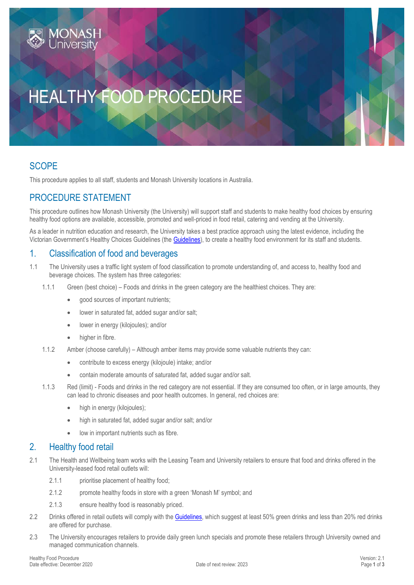# HEALTHY FOOD PROCEDURE

## **SCOPE**

This procedure applies to all staff, students and Monash University locations in Australia.

# PROCEDURE STATEMENT

This procedure outlines how Monash University (the University) will support staff and students to make healthy food choices by ensuring healthy food options are available, accessible, promoted and well-priced in food retail, catering and vending at the University.

As a leader in nutrition education and research, the University takes a best practice approach using the latest evidence, including the Victorian Government's Healthy Choices Guidelines (the [Guidelines\)](http://heas.health.vic.gov.au/healthy-choices/guidelines), to create a healthy food environment for its staff and students.

### 1. Classification of food and beverages

- 1.1 The University uses a traffic light system of food classification to promote understanding of, and access to, healthy food and beverage choices. The system has three categories:
	- 1.1.1 Green (best choice) Foods and drinks in the green category are the healthiest choices. They are:
		- good sources of important nutrients;
		- lower in saturated fat, added sugar and/or salt;
		- lower in energy (kilojoules); and/or
		- higher in fibre.
	- 1.1.2 Amber (choose carefully) Although amber items may provide some valuable nutrients they can:
		- contribute to excess energy (kilojoule) intake; and/or
		- contain moderate amounts of saturated fat, added sugar and/or salt.
	- 1.1.3 Red (limit) Foods and drinks in the red category are not essential. If they are consumed too often, or in large amounts, they can lead to chronic diseases and poor health outcomes. In general, red choices are:
		- high in energy (kilojoules);
		- high in saturated fat, added sugar and/or salt; and/or
		- low in important nutrients such as fibre.

#### 2. Healthy food retail

- 2.1 The Health and Wellbeing team works with the Leasing Team and University retailers to ensure that food and drinks offered in the University-leased food retail outlets will:
	- 2.1.1 prioritise placement of healthy food;
	- 2.1.2 promote healthy foods in store with a green 'Monash M' symbol: and
	- 2.1.3 ensure healthy food is reasonably priced.
- 2.2 Drinks offered in retail outlets will comply with the [Guidelines,](http://heas.health.vic.gov.au/healthy-choices/guidelines) which suggest at least 50% green drinks and less than 20% red drinks are offered for purchase.
- 2.3 The University encourages retailers to provide daily green lunch specials and promote these retailers through University owned and managed communication channels.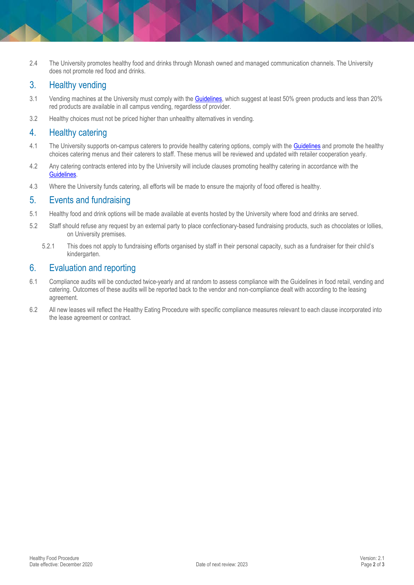2.4 The University promotes healthy food and drinks through Monash owned and managed communication channels. The University does not promote red food and drinks.

## 3. Healthy vending

- 3.1 Vending machines at the University must comply with th[e Guidelines,](http://heas.health.vic.gov.au/healthy-choices/guidelines) which suggest at least 50% green products and less than 20% red products are available in all campus vending, regardless of provider.
- 3.2 Healthy choices must not be priced higher than unhealthy alternatives in vending.

### 4. Healthy catering

- 4.1 The University supports on-campus caterers to provide healthy catering options, comply with the [Guidelines](http://heas.health.vic.gov.au/healthy-choices/guidelines) and promote the healthy choices catering menus and their caterers to staff. These menus will be reviewed and updated with retailer cooperation yearly.
- 4.2 Any catering contracts entered into by the University will include clauses promoting healthy catering in accordance with the [Guidelines.](http://heas.health.vic.gov.au/healthy-choices/guidelines)
- 4.3 Where the University funds catering, all efforts will be made to ensure the majority of food offered is healthy.

#### 5. Events and fundraising

- 5.1 Healthy food and drink options will be made available at events hosted by the University where food and drinks are served.
- 5.2 Staff should refuse any request by an external party to place confectionary-based fundraising products, such as chocolates or lollies, on University premises.
	- 5.2.1 This does not apply to fundraising efforts organised by staff in their personal capacity, such as a fundraiser for their child's kindergarten.

### 6. Evaluation and reporting

- 6.1 Compliance audits will be conducted twice-yearly and at random to assess compliance with the Guidelines in food retail, vending and catering. Outcomes of these audits will be reported back to the vendor and non-compliance dealt with according to the leasing agreement.
- 6.2 All new leases will reflect the Healthy Eating Procedure with specific compliance measures relevant to each clause incorporated into the lease agreement or contract.